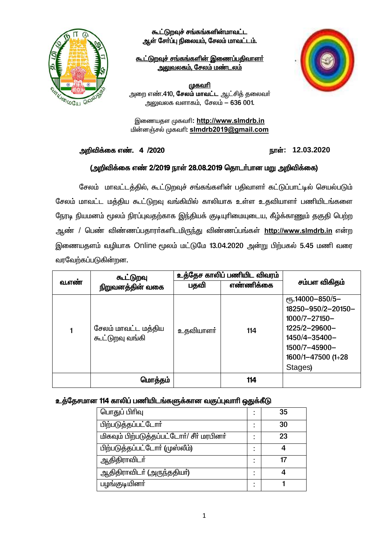

கூட்டுறவுச் சங்கங்களின்மாவட்ட ஆள் சேர்ப்பு நிலையம், சேலம் மாவட்டம்.

<u>கூட்டுறவுச் சங்கங்களின் இணைப்பதிவாளர்</u> <u> அலுவலகம், சேலம் மண்டலம்</u>



<u>முகவரி</u>

அறை எண்.410, **சேலம் மாவட்ட** ஆட்சித் தலைவர் அலுவலக வளாகம், சேலம் – 636 001.

இணையதள முகவரி: http://www.slmdrb.in மின்னஞ்சல் முகவரி: simdrb2019@gmail.com

அறிவிக்கை எண். 4 /2020

### நாள்: 12.03.2020

### (அறிவிக்கை எண் 2/2019 நாள் 28.08.2019 தொடர்பான மறு அறிவிக்கை)

சேலம் மாவட்டத்தில், கூட்டுறவுச் சங்கங்களின் பதிவாளர் கட்டுப்பாட்டில் செயல்படும் சேலம் மாவட்ட மத்திய கூட்டுறவு வங்கியில் காலியாக உள்ள உதவியாளா் பணியிடங்களை நேரடி நியமனம் மூலம் நிரப்புவதற்காக இந்தியக் குடியுரிமையுடைய, கீழ்க்காணும் தகுதி பெற்ற ஆண் / பெண் விண்ணப்பதாரா்களிடமிருந்து விண்ணப்பங்கள் http://www.slmdrb.in என்ற இணையதளம் வழியாக Online மூலம் மட்டுமே 13.04.2020 அன்று பிற்பகல் 5.45 மணி வரை வரவேற்கப்படுகின்றன.

|       | கூட்டுறவு<br>நிறுவனத்தின் வகை          | உத்தேச காலிப் பணியிட விவரம் |           |                                                                                                                                                 |
|-------|----------------------------------------|-----------------------------|-----------|-------------------------------------------------------------------------------------------------------------------------------------------------|
| வ.எண் |                                        | பதவி                        | எண்ணிக்கை | சம்பள விகிதம்                                                                                                                                   |
| 1     | சேலம் மாவட்ட மத்திய<br>கூட்டுறவு வங்கி | <u>உத</u> வியாளா்           | 114       | еҧ.14000-850/5-<br>18250-950/2-20150-<br>$1000/7 - 27150 -$<br>1225/2-29600-<br>1450/4-35400-<br>1500/7-45900-<br>1600/1-47500 (1+28<br>Stages) |
|       | மொத்தம்                                |                             | 114       |                                                                                                                                                 |

### உத்தேசமான 114 காலிப் பணியிடங்களுக்கான வகுப்புவாரி ஒதுக்கீடு

| பொதுப் பிரிவு                             |  | 35 |  |  |
|-------------------------------------------|--|----|--|--|
| பிற்படுத்தப்பட்டோர்                       |  | 30 |  |  |
| மிகவும் பிற்படுத்தப்பட்டோர்/ சீர் மரபினர் |  | 23 |  |  |
| பிற்படுத்தப்பட்டோா் (முஸ்லீம்)            |  |    |  |  |
| ஆதிதிராவிடா்                              |  | 17 |  |  |
| ஆதிதிராவிடா் (அருந்ததியா்)                |  |    |  |  |
| பழங்குடியினா்                             |  |    |  |  |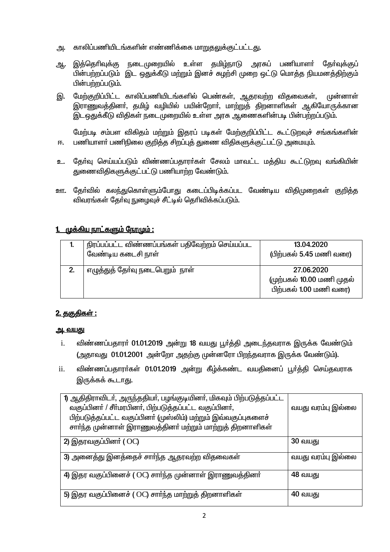- காலிப்பணியிடங்களின் எண்ணிக்கை மாறுதலுக்குட்பட்டது. அ.
- இத்தெரிவுக்கு நடைமுறையில் உள்ள தமிம்நாடு அரசுப் பணியாளர் கோ்வக்குப் ஆ. பின்பற்றப்படும் இட ஒதுக்கீடு மற்றும் இனச் சுழற்சி முறை ஒட்டு மொத்த நியமனத்திற்கும் பின்பற்றப்படும்.
- இ. மேற்குறிப்பிட்ட காலிப்பணியிடங்களில் பெண்கள், ஆதரவற்ற விதவைகள், முன்னாள் இராணுவத்தினா், தமிழ் வழியில் பயின்றோா், மாற்றுத் திறனாளிகள் ஆகியோருக்கான இடஒதுக்கீடு விதிகள் நடைமுறையில் உள்ள அரசு ஆணைகளின்படி பின்பற்றப்படும்.

மேற்படி சம்பள விகிதம் மற்றும் இதரப் படிகள் மேற்குறிப்பிட்ட கூட்டுறவுச் சங்கங்களின் பணியாளா் பணிநிலை குறித்த சிறப்புத் துணை விதிகளுக்குட்பட்டு அமையும். 匝.

- உ. தேர்வு செய்யப்படும் விண்ணப்பதாரர்கள் சேலம் மாவட்ட மக்கிய கூட்டுறவு வங்கியின் துணைவிதிகளுக்குட்பட்டு பணியாற்ற வேண்டும்.
- ஊ. தேர்வில் கலந்துகொள்ளும்போது கடைப்பிடிக்கப்பட வேண்டிய விகிமுறைகள் குறிக்க விவரங்கள் கேர்வு நுழைவுச் சீட்டில் தெரிவிக்கப்படும்.

## 1. முக்கிய நாட்களும் நேரமும் :

|    | நிரப்பப்பட்ட விண்ணப்பங்கள் பதிவேற்றம் செய்யப்பட<br>வேண்டிய கடைசி நாள் | 13.04.2020<br>(பிற்பகல் 5.45 மணி வரை)                             |
|----|-----------------------------------------------------------------------|-------------------------------------------------------------------|
| 2. | எழுத்துத் தோ்வு நடைபெறும்  நாள்                                       | 27.06.2020<br>(முற்பகல் 10.00 மணி முதல்<br>பிற்பகல் 1.00 மணி வரை) |

### <u>2. தகுதிகள் :</u>

### <u>அ. வயது</u>

- விண்ணப்பதாரா் 01.01.2019 அன்று 18 வயது பூா்த்தி அடைந்தவராக இருக்க வேண்டும்  $\mathbf{i}$ . (அதாவது 01.01.2001 அன்றோ அதற்கு முன்னரோ பிறந்தவராக இருக்க வேண்டும்).
- விண்ணப்பதாரா்கள் 01.01.2019 அன்று கீழ்க்கண்ட வயதினைப் பூா்த்தி செய்தவராக ii. இருக்கக் கூடாது.

| 1) ஆதிதிராவிடா், அருந்ததியா், பழங்குடியினா், மிகவும் பிற்படுத்தப்பட்ட<br>வகுப்பினா் / சீா்மரபினா், பிற்படுத்தப்பட்ட வகுப்பினா்,<br>பிற்படுத்தப்பட்ட வகுப்பினா் (முஸ்லிம்) மற்றும் இவ்வகுப்புகளைச்<br>சாா்ந்த முன்னாள் இராணுவத்தினா் மற்றும் மாற்றுத் திறனாளிகள் | வயது வரம்பு இல்லை |
|-----------------------------------------------------------------------------------------------------------------------------------------------------------------------------------------------------------------------------------------------------------------|-------------------|
| 2) இதரவகுப்பினர் (OC)                                                                                                                                                                                                                                           | <b>30 வயது</b>    |
|                                                                                                                                                                                                                                                                 |                   |
| 3) அனைத்து இனத்தைச் சார்ந்த ஆதரவற்ற விதவைகள்                                                                                                                                                                                                                    | வயது வரம்பு இல்லை |
| 4) இதர வகுப்பினைச் ( OC) சாா்ந்த முன்னாள் இராணுவத்தினா்                                                                                                                                                                                                         | 48 வயது           |
| 5) இதர வகுப்பினைச் ( OC) சார்ந்த மாற்றுத் திறனாளிகள்                                                                                                                                                                                                            | 40 வயது           |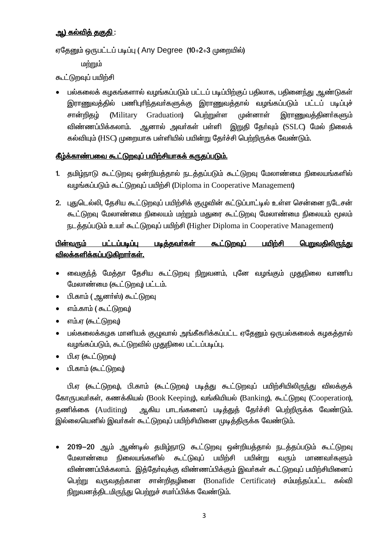## அ) கல்வித் தகுதி :

ஏதேனும் ஒருபட்டப் படிப்பு (Any Degree (10+2+3 முறையில்)

மற்றும்

கூட்டுறவுப் பயிற்சி

பல்கலைக் கழகங்களால் வழங்கப்படும் பட்டப் படிப்பிற்குப் பதிலாக, பதினைந்து ஆண்டுகள் இராணுவத்தில் பணிபுரிந்தவா்களுக்கு இராணுவத்தால் வழங்கப்படும் பட்டப் படிப்புச் Graduation) பெற்றுள்ள முன்னாள் சான்றிதழ் (Military இராணுவத்தினா்களும் விண்ணப்பிக்கலாம். ஆனால் அவா்கள் பள்ளி இறுதி தோ்வும் (SSLC) மேல் நிலைக் கல்வியும் (HSC) முறையாக பள்ளியில் பயின்று தேர்ச்சி பெற்றிருக்க வேண்டும்.

## கீம்க்காண்பவை கூட<u>்டுறவுப் பயிற்சியாகக் கருதப்படும்.</u>

- 1. தமிழ்நாடு கூட்டுறவு ஒன்றியத்தால் நடத்தப்படும் கூட்டுறவு மேலாண்மை நிலையங்களில் வழங்கப்படும் கூட்டுறவுப் பயிற்சி (Diploma in Cooperative Management)
- 2. புதுடெல்லி, தேசிய கூட்டுறவுப் பயிற்சிக் குழுவின் கட்டுப்பாட்டில் உள்ள சென்னை நடேசன் கூட்டுறவு மேலாண்மை நிலையம் மற்றும் மதுரை கூட்டுறவு மேலாண்மை நிலையம் மூலம் நடத்தப்படும் உயர் கூட்டுறவுப் பயிற்சி (Higher Diploma in Cooperative Management)

#### பின்வரும் பட்டப்படிப்பு படித்தவர்கள் கூட்டுறவுப் பயிற்சி <u>பெறுவதிலிருந்து</u> <u>விலக்களிக்கப்படுகிறார்கள்.</u>

- வைகுந்த் மேத்தா தேசிய கூட்டுறவு நிறுவனம், புனே வழங்கும் முதுநிலை வாணிப  $\bullet$ மேலாண்மை (கூட்டுறவு) பட்டம்.
- பி.காம் ( ஆனா்ஸ்) கூட்டுறவு  $\bullet$
- எம்.காம் ( கூட்டுறவு)  $\bullet$
- எம்.எ (கூட்டுறவு)  $\bullet$
- பல்கலைக்கழக மானியக் குழுவால் அங்கீகரிக்கப்பட்ட ஏதேனும் ஒருபல்கலைக் கழகத்தால் வழங்கப்படும், கூட்டுறவில் முதுநிலை பட்டப்படிப்பு.
- பி.எ (கூட்டுமவ)  $\bullet$
- பி.காம் (கூட்டுறவு)

பி.ஏ (கூட்டுறவு), பி.காம் (கூட்டுறவு) படித்து கூட்டுறவுப் பயிற்சியிலிருந்து விலக்குக் கோருபவர்கள், கணக்கியல் (Book Keeping), வங்கியியல் (Banking), கூட்டுறவு (Cooperation), ஆகிய பாடங்களைப் படித்துக் கேர்ச்சி பெற்றிருக்க வேண்டும். தணிக்கை (Auditing) இல்லையெனில் இவர்கள் கூட்டுறவுப் பயிற்சியினை முடித்திருக்க வேண்டும்.

2019–20 ஆம் ஆண்டில் தமிழ்நாடு கூட்டுறவு ஒன்றியத்தால் நடத்தப்படும் கூட்டுறவு நிலையங்களில் கூட்டுவப் பயின்று மேலாண்மை பயிற்சி வரும் மாணவாகளும் விண்ணப்பிக்கலாம். இத்தேர்வுக்கு விண்ணப்பிக்கும் இவர்கள் கூட்டுறவுப் பயிற்சியினைப் பெற்று வருவதற்கான சான்றிதழினை (Bonafide Certificate) சம்மந்தப்பட்ட கல்வி நிறுவனத்திடமிருந்து பெற்றுச் சமர்ப்பிக்க வேண்டும்.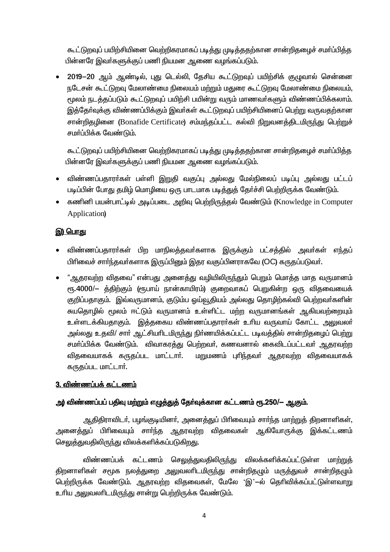கூட்டுறவுப் பயிற்சியினை வெற்றிகரமாகப் படித்து முடித்ததற்கான சான்றிதழைச் சமா்ப்பித்த பின்னரே இவர்களுக்குப் பணி நியமன ஆணை வழங்கப்படும்.

2019-20 ஆம் ஆண்டில், புது டெல்லி, தேசிய கூட்டுறவுப் பயிற்சிக் குழுவால் சென்னை நடேசன் கூட்டுறவு மேலாண்மை நிலையம் மற்றும் மதுரை கூட்டுறவு மேலாண்மை நிலையம், மூலம் நடத்தப்படும் கூட்டுறவுப் பயிற்சி பயின்று வரும் மாணவர்களும் விண்ணப்பிக்கலாம். இத்தேர்வுக்கு விண்ணப்பிக்கும் இவர்கள் கூட்டுறவுப் பயிற்சியினைப் பெற்று வருவதற்கான சான்றிதழினை (Bonafide Certificate) சம்மந்தப்பட்ட கல்வி நிறுவனத்திடமிருந்து பெற்றுச் சமாப்பிக்க வேண்டும்.

கூட்டுறவுப் பயிற்சியினை வெற்றிகரமாகப் படித்து முடித்ததற்கான சான்றிதழைச் சமா்ப்பித்த பின்னரே இவர்களுக்குப் பணி நியமன ஆணை வழங்கப்படும்.

- விண்ணப்பதாரா்கள் பள்ளி இறுதி வகுப்பு அல்லது மேல்நிலைப் படிப்பு அல்லது பட்டப்  $\bullet$ படிப்பின் போது தமிழ் மொழியை ஒரு பாடமாக படித்துத் தேர்ச்சி பெற்றிருக்க வேண்டும்.
- கணினி பயன்பாட்டில் அடிப்படை அறிவு பெற்றிருத்தல் வேண்டும் (Knowledge in Computer  $\bullet$ Application)

## <u>இ) பொது</u>

- விண்ணப்பதாரா்கள் பிற மாநிலத்தவா்களாக இருக்கும் பட்சத்தில் அவா்கள் எந்தப் பிரிவைச் சார்ந்தவர்களாக இருப்பினும் இதர வகுப்பினராகவே (OC) கருதப்படுவர்.
- "ஆதரவற்ற விதவை" என்பது அனைத்து வழியிலிருந்தும் பெறும் மொத்த மாத வருமானம்  $\bullet$ ரூ.4000/— த்திற்கும் (ரூபாய் நான்காயிரம்) குறைவாகப் பெறுகின்ற ஒரு விதவையைக் குறிப்பதாகும். இவ்வருமானம், குடும்ப ஒய்வூதியம் அல்லது தொழிற்கல்வி பெற்றவர்களின் சுயதொழில் மூலம் ஈட்டும் வருமானம் உள்ளிட்ட மற்ற வருமானங்கள் ஆகியவற்றையும் உள்ளடக்கியதாகும். இத்தகைய விண்ணப்பதாரா்கள் உாிய வருவாய் கோட்ட அலுவலா் அல்லது உதவி/ சார் ஆட்சியரிடமிருந்து நிர்ணயிக்கப்பட்ட படிவத்தில் சான்றிதமைுப் பெற்று சமா்ப்பிக்க வேண்டும். விவாகரத்து பெற்றவா், கணவனால் கைவிடப்பட்டவா் ஆதரவற்ற விதவையாகக் கருதப்பட மாட்டாா். மறுமணம் புரிந்தவர் ஆதரவற்ற விதவையாகக் கருதப்பட மாட்டார்.

# 3. விண்ணப்பக் கட்டணம்

## அ) விண்ணப்பப் பதிவு மற்றும் எழுத்துத் தேர்வுக்கான கட்டணம் ரூ.250/— ஆகும்.

ஆதிதிராவிடர், பழங்குடியினர், அனைத்துப் பிரிவையும் சார்ந்த மாற்றுத் திறனாளிகள், அனைத்துப் பிரிவையும் சாா்ந்த ஆதரவற்ற விதவைகள் ஆகியோருக்கு இக்கட்டணம் செலுத்துவதிலிருந்து விலக்களிக்கப்படுகிறது.

விண்ணப்பக் கட்டணம் செலுக்துவகிலிருந்து விலக்களிக்கப்பட்டுள்ள மாற்றுக் திறனாளிகள் சமூக நலத்துறை அலுவலாிடமிருந்து சான்றிதழும் மருத்துவச் சான்றிதழும் பெற்றிருக்க வேண்டும். ஆதரவற்ற விதவைகள், மேலே 'இ'—ல் தெரிவிக்கப்பட்டுள்ளவாறு உரிய அலுவலரிடமிருந்து சான்று பெற்றிருக்க வேண்டும்.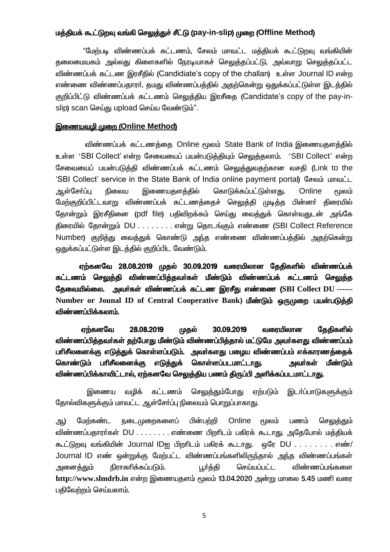### மத்தியக் கூட்டுறவு வங்கி செலுத்துச் சீட்டு (pay-in-slip) முறை (Offline Method)

"மேற்படி விண்ணப்பக் கட்டணம், சேலம் மாவட்ட மக்கியக் கூட்டுறவு வங்கியின் தலைமையகம் அல்லது கிளைகளில் நேரடியாகச் செலுத்தப்பட்டு, அவ்வாறு செலுத்தப்பட்ட விண்ணப்பக் கட்டண இரசீதில் (Candidiate's copy of the challan) உள்ள Journal ID என்ற எண்ணை விண்ணப்பதாரா், தமது விண்ணப்பத்தில் அதற்கென்று ஒதுக்கப்பட்டுள்ள இடத்தில் குறிப்பிட்டு விண்ணப்பக் கட்டணம் செலுத்திய இரசீதை (Candidate's copy of the pay-inslip) scan செய்கு upload செய்ய வேண்டும்".

### இணையவமி முறை (Online Method)

விண்ணப்பக் கட்டணக்கை Online மூலம் State Bank of India இணையகளக்கில் உள்ள 'SBI Collect' என்ற சேவையைப் பயன்படுத்தியும் செலுத்தலாம். 'SBI Collect' என்ற சேவையைப் பயன்படுத்தி விண்ணப்பக் கட்டணம் செ<u>லுத்த</u>ுவதற்கான வசதி (Link to the 'SBI Collect' service in the State Bank of India online payment portal) சேலம் மாவட்ட கொடுக்கப்பட்டுள்ளகு. <u> ஆள்சோப்ப</u> நிலைய இணையகளக்கில் Online பூலம் மேற்குறிப்பிட்டவாறு விண்ணப்பக் கட்டணத்தைச் செலுத்தி முடித்த பின்னர் திரையில் தோன்றும் இரசீதினை (pdf file) பதிவிறக்கம் செய்து வைத்துக் கொள்வதுடன் அங்கே கிரையில் கோன்றும் DU . . . . . . . என்று தொடங்கும் எண்ணை (SBI Collect Reference Number) குறித்து வைத்துக் கொண்டு அந்த எண்ணை விண்ணப்பத்தில் அதற்கென்று ஒதுக்கப்பட்டுள்ள இடத்தில் குறிப்பிட வேண்டும்.

ஏற்கனவே 28.08.2019 முதல் 30.09.2019 வரையிலான தேதிகளில் விண்ணப்பக் கட்டணம் செலுத்தி விண்ணப்பித்தவர்கள் மீண்டும் விண்ணப்பக் கட்டணம் செலுத்த தேவையில்லை. அவர்கள் விண்ணப்பக் கட்டண இரசீது எண்ணை (SBI Collect DU ------Number or Jounal ID of Central Cooperative Bank) மீண்டும் ஒருமுறை பயன்படுத்தி விண்ணப்பிக்கலாம்.

தேதிகளில் எர்கனவே 28.08.2019 முதல் 30.09.2019 வரையிலான விண்ணப்பித்தவர்கள் தற்போது மீண்டும் விண்ணப்பித்தால் மட்டுமே அவர்களது விண்ணப்பம் பரிசீலனைக்கு எடுத்துக் கொள்ளப்படும். அவர்களது பழைய விண்ணப்பம் எக்காரணத்தைக் கொண்டும் பரிசீலனைக்கு எடுத்துக் கொள்ளப்படமாட்டாது. அவர்கள் மீண்டும் விண்ணப்பிக்காவிட்டால், ஏற்கனவே செலுத்திய பணம் திருப்பி அளிக்கப்படமாட்டாது.

வழிக் கட்டணம் செலுக்கும்போகு ஏற்படும் இணைய இடா்ப்பாடுகளுக்கும் தோல்விகளுக்கும் மாவட்ட ஆள்சோ்ப்பு நிலையம் பொறுப்பாகாது.

மேற்கண்ட <u>நடைமுறைகளைப்</u> பின்பற்றி Online மூலம் பணம் செலுக்கும் ஆ) விண்ணப்பகாரர்கள் DU . . . . . . . . எண்ணை பிறரிடம் பகிரக் கூடாது. அதேபோல் மத்தியக் கூட்டுறவு வங்கியின் Journal IDஐ பிறரிடம் பகிரக் கூடாது. ஒரே DU . . . . . . . எண்/ Journal ID எண் ஒன்றுக்கு மேற்பட்ட விண்ணப்பங்களிலிருந்தால் அந்த விண்ணப்பங்கள் செய்யப்பட்ட அனைத்<u>க</u>ும் நிராகரிக்கப்படும். பூர்த்தி விண்ணப்பங்களை http://www.slmdrb.in என்ற இணையதளம் மூலம் 13.04.2020 அன்று மாலை 5.45 மணி வரை பதிவேற்றம் செய்யலாம்.

5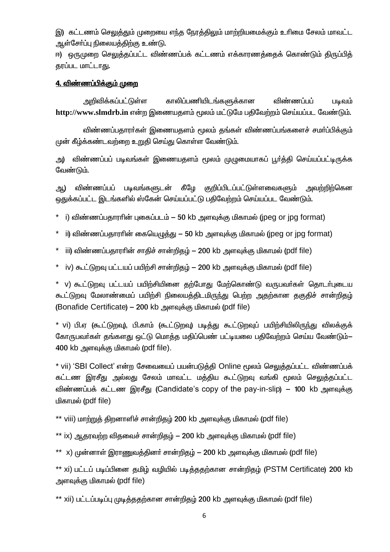இ) கட்டணம் செலுத்தும் முறையை எந்த நேரத்திலும் மாற்றியமைக்கும் உரிமை சேலம் மாவட்ட ஆள்சோ்ப்பு நிலையத்திற்கு உண்டு.

ஈ) ஒருமுறை செலுத்தப்பட்ட விண்ணப்பக் கட்டணம் எக்காரணத்தைக் கொண்டும் திருப்பித் தரப்பட மாட்டாது.

### 4. விண்ணப்பிக்கும் முறை

அறிவிக்கப்பட்டுள்ள காலிப்பணியிடங்களுக்கான விண்ணப்பப் படிவம் http://www.slmdrb.in என்ற இணையதளம் மூலம் மட்டுமே பதிவேற்றம் செய்யப்பட வேண்டும்.

விண்ணப்பதாரர்கள் இணையதளம் மூலம் தங்கள் விண்ணப்பங்களைச் சமர்ப்பிக்கும் முன் கீழ்க்கண்டவற்றை உறுதி செய்து கொள்ள வேண்டும்.

அ) விண்ணப்பப் படிவங்கள் இணையதளம் மூலம் முழுமையாகப் பூர்த்தி செய்யப்பட்டிருக்க வேண்டும்.

விண்ணப்பப் படிவங்களுடன் கீழே குறிப்பிடப்பட்டுள்ளவைகளும் அவற்றிற்கென அ.) ஒதுக்கப்பட்ட இடங்களில் ஸ்கேன் செய்யப்பட்டு பதிவேற்றம் செய்யப்பட வேண்டும்.

- i) விண்ணப்பதாரரின் புகைப்படம் 50 kb அளவுக்கு மிகாமல் (jpeg or jpg format)
- ் ii) விண்ணப்பகாாரின் கையெமக்கு  $-$  50 kb அளவக்கு மிகாமல் (ipeg or ipg format)
- $^*$  iii) விண்ணப்பதாராின் சாதிச் சான்றிதழ் 200 kb அளவுக்கு மிகாமல் (pdf file)
- \* iv) கூட்டுறவு பட்டயப் பயிற்சி சான்றிதழ் 200 kb அளவுக்கு மிகாமல் (pdf file)

\* v) கூட்டுறவு பட்டயப் பயிற்சியினை தற்போது மேற்கொண்டு வருபவர்கள் தொடர்புடைய கூட்டுறவு மேலாண்மைப் பயிற்சி நிலையத்திடமிருந்து பெற்ற அதற்கான தகுதிச் சான்றிதழ் (Bonafide Certificate) – 200 kb அளவுக்கு மிகாமல் (pdf file)

\* vi) பி.ஏ (கூட்டுறவு), பி.காம் (கூட்டுறவு) படித்து கூட்டுறவுப் பயிற்சியிலிருந்து விலக்குக் கோருபவர்கள் தங்களது ஒட்டு மொத்த மதிப்பெண் பட்டியலை பதிவேற்றம் செய்ய வேண்டும்— 400 kb அளவக்கு மிகாமல் (pdf file).

\* vii) 'SBI Collect' என்ற சேவையைப் பயன்படுத்தி Online மூலம் செலுத்தப்பட்ட விண்ணப்பக் கட்டண இரசீது அல்லது சேலம் மாவட்ட மத்திய கூட்டுறவு வங்கி மூலம் செலுத்தப்பட்ட விண்ணப்பக் கட்டண இரசீது (Candidate's copy of the pay-in-slip) – 100 kb அளவுக்கு மிகாமல் (pdf file)

\*\* viii) மாற்றுத் திறனாளிச் சான்றிதழ் 200 kb அளவுக்கு மிகாமல் (pdf file)

 $^*$ \* ix) ஆதரவற்ற விதவைச் சான்றிதழ் — 200 kb அளவுக்கு மிகாமல் (pdf file)

\*\* x) முன்னாள் இராணுவத்தினா் சான்றிதழ் — 200 kb அளவுக்கு மிகாமல் (pdf file)

\*\* xi) பட்டப் படிப்பினை தமிழ் வழியில் படித்ததற்கான சான்றிதழ் (PSTM Certificate) 200 kb அளவுக்கு மிகாமல் (pdf file)

\*\* xii) பட்டப்படிப்பு முடித்ததற்கான சான்றிதம் 200 kb அளவுக்கு மிகாமல் (pdf file)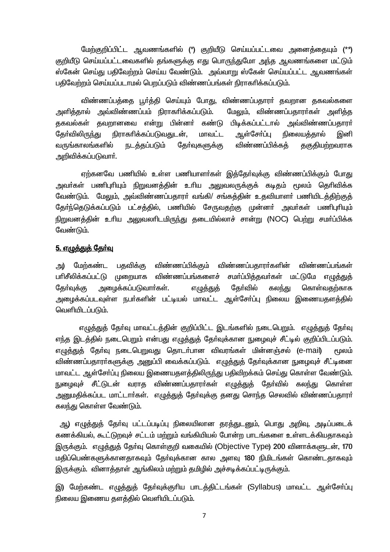மேற்குறிப்பிட்ட ஆவணங்களில் (\*) குறியீடு செய்யப்பட்டவை அனைத்தையும் (\*\*) குறியீடு செய்யப்பட்டவைகளில் தங்களுக்கு எது பொருந்துமோ அந்த ஆவணங்களை மட்டும் ஸ்கேன் செய்து பதிவேற்றம் செய்ய வேண்டும். அவ்வாறு ஸ்கேன் செய்யப்பட்ட ஆவணங்கள் பதிவேற்றம் செய்யப்படாமல் பெறப்படும் விண்ணப்பங்கள் நிராகரிக்கப்படும்.

விண்ணப்பத்தை பூர்த்தி செய்யும் போது, விண்ணப்பதாரர் தவறான தகவல்களை அளிக்கால் அவ்விண்ணப்பம் நிராகரிக்கப்படும். மேலும், விண்ணப்பகாரர்கள் அளிக்க தகவல்கள் தவறானவை என்று பின்னர் கண்டு பிடிக்கப்பட்டால் அவ்விண்ணப்பதாரா் ஆள்சோப்பு கேர்விலிருந்து நிராகரிக்கப்படுவதுடன். மாவட்ட நிலையக்கால் இனி வருங்காலங்களில் நடத்தப்படும் தோ்வுகளுக்கு விண்ணப்பிக்கக் தகுதியற்றவராக அறிவிக்கப்படுவார்**.** 

ஏற்கனவே பணியில் உள்ள பணியாளர்கள் இத்தேர்வுக்கு விண்ணப்பிக்கும் போது அவா்கள் பணிபுாியும் நிறுவனத்தின் உாிய அலுவலருக்குக் கடிதம் மூலம் தொிவிக்க வேண்டும். மேலும், அவ்விண்ணப்பதாரா் வங்கி/ சங்கத்தின் உதவியாளா் பணியிடத்திற்குத் தோ்ந்தெடுக்கப்படும் பட்சத்தில், பணியில் சேருவதற்கு முன்னா் அவா்கள் பணிபுாியும் நிறுவனத்தின் உரிய அலுவலரிடமிருந்து தடையில்லாச் சான்று (NOC) பெற்று சமர்ப்பிக்க வேண்டும்.

### 5. எழுத்துத் தேர்வு

மேற்கண்ட பதவிக்கு விண்ணப்பிக்கும் விண்ணப்பதாரா்களின் விண்ணப்பங்கள் அ) பரிசீலிக்கப்பட்டு முறையாக விண்ணப்பங்களைச் சமா்ப்பித்தவா்கள் மட்டுமே எழுத்துத் அழைக்கப்படுவாா்கள். கேர்வில் கொள்வகற்காக கேர்வக்கு எழுத்துத் கலந்து அழைக்கப்படவுள்ள நபர்களின் பட்டியல் மாவட்ட ஆள்சேர்ப்பு நிலைய இணையதளத்தில் வெளியிடப்படும்.

எழுத்துத் தேர்வு மாவட்டத்தின் குறிப்பிட்ட இடங்களில் நடைபெறும். எழுத்துத் தேர்வு எந்த இடத்தில் நடைபெறும் என்பது எழுத்துத் தோ்வுக்கான நுழைவுச் சீட்டில் குறிப்பிடப்படும். எமுத்துத் தேர்வு நடைபெறுவது தொடர்பான விவரங்கள் மின்னஞ்சல் (e-mail) <u> சமலம்</u> விண்ணப்பதாரா்களுக்கு அனுப்பி வைக்கப்படும். எழுத்துத் தோ்வுக்கான நுழைவுச் சீட்டினை மாவட்ட ஆள்சோ்ப்பு நிலைய இணையதளத்திலிருந்து பதிவிறக்கம் செய்து கொள்ள வேண்டும். நுழைவுச் சீட்டுடன் வராத விண்ணப்பதாரர்கள் எழுத்துத் தேர்வில் கலந்து கொள்ள <u>அனுமதிக்கப்பட மாட்டாா்கள். எழுத்துத்</u> தோ்வுக்கு தனது சொந்த செலவில் விண்ணப்பதாரா். கலந்து கொள்ள வேண்டும்.

அ) எழுத்துத் தோ்வு பட்டப்படிப்பு நிலையிலான தரத்துடனும், பொது அறிவு, அடிப்படைக் கணக்கியல், கூட்டுறவுச் சட்டம் மற்றும் வங்கியியல் போன்ற பாடங்களை உள்ளடக்கியதாகவும் இருக்கும். எழுத்துத் தேர்வு கொள்குறி வகையில் (Objective Type) 200 வினாக்களுடன், 170 மதிப்பெண்களுக்கானதாகவும் தேர்வுக்கான கால அளவு 180 நிமிடங்கள் கொண்டதாகவும் இருக்கும். வினாத்தாள் ஆங்கிலம் மற்றும் தமிழில் அச்சடிக்கப்பட்டிருக்கும்.

இ) மேற்கண்ட எழுத்துத் தேர்வுக்குரிய பாடத்திட்டங்கள் (Syllabus) மாவட்ட ஆள்சேர்ப்பு நிலைய இணைய தளத்தில் வெளியிடப்படும்.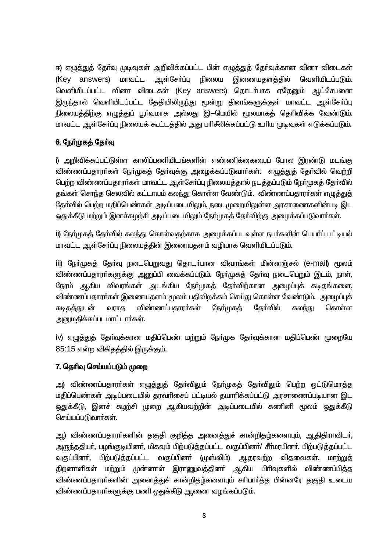ஈ) எழுத்துத் தோ்வு முடிவுகள் அறிவிக்கப்பட்ட பின் எழுத்துத் தோ்வுக்கான வினா விடைகள் (Key answers) **produit** ஆள்சோப்பு நிலைய இணையதளத்தில் வெளியிடப்படும். வெளியிடப்பட்ட வினா விடைகள் (Key answers) தொடர்பாக ஏதேனும் ஆட்சேபனை இருந்தால் வெளியிடப்பட்ட தேதியிலிருந்து மூன்று தினங்களுக்குள் மாவட்ட ஆள்சோ்ப்பு நிலையத்திற்கு எழுத்துப் பூர்வமாக அல்லது இ—மெயில் மூலமாகத் தெரிவிக்க வேண்டும். மாவட்ட ஆள்சோ்ப்பு நிலையக் கூட்டத்தில் அது பாிசீலிக்கப்பட்டு உரிய முடிவுகள் எடுக்கப்படும்.

## 6. நேர்முகத் தேர்வு

i) அறிவிக்கப்பட்டுள்ள காலிப்பணியிடங்களின் எண்ணிக்கையைப் போல இரண்டு மடங்கு விண்ணப்பதாரா்கள் நோ்முகத் தோ்வுக்கு அழைக்கப்படுவாா்கள். எழுத்துத் தோ்வில் வெற்றி பெற்ற விண்ணப்பதாரா்கள் மாவட்ட ஆள்சோ்ப்பு நிலையத்தால் நடத்தப்படும் நோ்முகத் தோ்வில் தங்கள் சொந்த செலவில் கட்டாயம் கலந்து கொள்ள வேண்டும். விண்ணப்பதாரா்கள் எழுத்துத் தேர்வில் பெற்ற மதிப்பெண்கள் அடிப்படையிலும், நடைமுறையிலுள்ள அரசாணைகளின்படி இட ஒதுக்கீடு மற்றும் இனச்சுழற்சி அடிப்படையிலும் நேர்முகத் தேர்விற்கு அழைக்கப்படுவார்கள்.

ii) நேர்முகத் தேர்வில் கலந்து கொள்வதற்காக அமைக்கப்படவுள்ள நபர்களின் பெயர்ப் பட்டியல் மாவட்ட ஆள்சோ்ப்பு நிலையத்தின் இணையதளம் வழியாக வெளியிடப்படும்.

iii) நோ்முகத் தோ்வு நடைபெறுவது தொடா்பான விவரங்கள் மின்னஞ்சல் (e-mail) மூலம் விண்ணப்பதாரா்களுக்கு அனுப்பி வைக்கப்படும். நோ்முகத் தோ்வு நடைபெறும் இடம், நாள், நேரம் ஆகிய விவரங்கள் அடங்கிய நேர்முகக் கேர்விற்கான அமைப்புக் கடிகுங்களை, விண்ணப்பதாரா்கள் இணையதளம் மூலம் பதிவிறக்கம் செய்து கொள்ள வேண்டும். அழைப்புக் விண்ணப்பதாரா்கள் கடிகத்துடன் வராகு நோ்முகத் கேர்வில் கலந்து கொள்ள அனுமதிக்கப்படமாட்டார்கள்.

iv) எழுத்துத் தேர்வுக்கான மதிப்பெண் மற்றும் நேர்முக தேர்வுக்கான மதிப்பெண் முறையே 85:15 என்ற விகிகத்தில் இருக்கும்.

### <u>7. தெரிவு செய்யப்படும் முறை</u>

அ) விண்ணப்பதாரா்கள் எழுத்துத் தோ்விலும் நோ்முகத் தோ்விலும் பெற்ற ஒட்டுமொத்த மதிப்பெண்கள் அடிப்படையில் தரவரிசைப் பட்டியல் தயாரிக்கப்பட்டு அரசாணைப்படியான இட ஒதுக்கீடு, இனச் சுழற்சி முறை ஆகியவற்றின் அடிப்படையில் கணினி மூலம் ஒதுக்கீடு செய்யப்படுவார்கள்.

அ.) விண்ணப்பதாரா்களின் தகுதி குறித்த அனைத்துச் சான்றிதழ்களையும், <u>ஆ</u>திதிராவிடா், அருந்ததியா், பழங்குடியினா், மிகவும் பிற்படுத்தப்பட்ட வகுப்பினா்/ சீா்மரபினா், பிற்படுத்தப்பட்ட வகுப்பினா். பிற்படுத்தப்பட்ட வகுப்பினா் (முஸ்லிம்) ஆதரவற்ற விகவைகள். மாற்றுக் திறனாளிகள் மற்றும் முன்னாள் இராணுவத்தினர் ஆகிய பிரிவுகளில் விண்ணப்பித்த விண்ணப்பதாரா்களின் அனைத்துச் சான்றிதழ்களையும் சாிபாா்த்த பின்னரே தகுதி உடைய விண்ணப்பதாரா்களுக்கு பணி ஒதுக்கீடு ஆணை வழங்கப்படும்.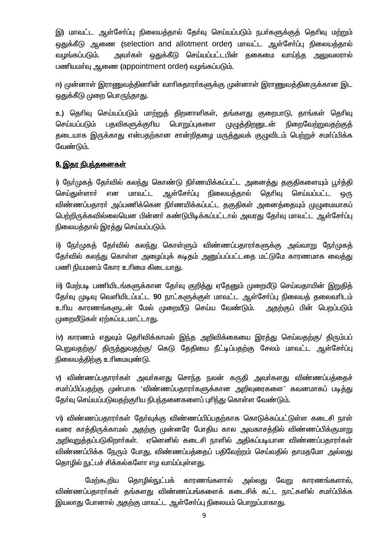இ) மாவட்ட ஆள்சோ்ப்பு நிலையத்தால் தோ்வு செய்யப்படும் நபா்களுக்குத் தொிவு மற்றும் ஒதுக்கீடு ஆணை (selection and allotment order) மாவட்ட ஆள்சோ்ப்பு நிலையக்கால் அவர்கள் ஒதுக்கீடு செய்யப்பட்டபின் தகைமை வாய்ந்த <u>அல</u>ுவலரால் வமங்கப்படும். பணியமர்வு ஆணை (appointment order) வழங்கப்படும்.

ஈ) முன்னாள் இராணுவத்தினாின் வாாிசுதாரா்களுக்கு முன்னாள் இராணுவத்தினருக்கான இட ஒதுக்கீடு முறை பொருந்தாது.

உ) தெரிவு செய்யப்படும் மாற்றுத் திறனாளிகள், தங்களது குறைபாடு, தாங்கள் தெரிவு செய்யப்படும் பதவிகளுக்குரிய பொறுப்புகளை முழுத்திறனுடன் நிறைவேற்றுவதற்குத் தடையாக இருக்காது என்பதற்கான சான்றிதழை மருத்துவக் குழுவிடம் பெற்றுச் சமா்ப்பிக்க வேண்டும்.

### <u>8. இதர நிபந்தனைகள்</u>

i) நோ்முகத் தோ்வில் கலந்து கொண்டு நிா்ணயிக்கப்பட்ட அனைத்து தகுதிகளையும் பூா்த்தி மாவட்ட செய்குள்ளாா் என ஆள்சோப்பு நிலையத்தால் கெரிவு செய்யப்பட்ட ஒரு விண்ணப்பதாரா் அப்பணிக்கென நிா்ணயிக்கப்பட்ட தகுதிகள் அனைத்தையும் முழுமையாகப் பெற்றிருக்கவில்லையென பின்னா் கண்டுபிடிக்கப்பட்டால் அவரது தோ்வு மாவட்ட ஆள்சோ்ப்பு நிலையத்தால் இரத்து செய்யப்படும்.

ii) நோ்முகத் தோ்வில் கலந்து கொள்ளும் விண்ணப்பதாரா்களுக்கு அவ்வாறு நோ்முகத் தேர்வில் கலந்து கொள்ள அழைப்புக் கடிதம் அனுப்பப்பட்டதை மட்டுமே காரணமாக வைத்து பணி நியமனம் கோர உரிமை கிடையாது.

iii) மேற்படி பணியிடங்களுக்கான தேர்வு குறித்து ஏதேனும் முறையீடு செய்வதாயின் இறுதித் தேர்வு முடிவு வெளியிடப்பட்ட 90 நாட்களுக்குள் மாவட்ட ஆள்சேர்ப்பு நிலையத் தலைவரிடம் உரிய காரணங்களுடன் மேல் முறையீடு செய்ய வேண்டும். அதற்குப் பின் பெறப்படும் முறையீடுகள் ஏற்கப்படமாட்டாது.

iv) காரணம் எதுவும் தெரிவிக்காமல் இந்த அறிவிக்கையை இரத்து செய்வதற்கு/ திரும்பப் பெறுவதற்கு/ திருத்துவதற்கு/ கெடு தேதியை நீட்டிப்பதற்கு சேலம் மாவட்ட ஆள்சோ்ப்பு நிலையத்திற்கு உரிமையுண்டு.

v) விண்ணப்பதாரா்கள் அவா்களது சொந்த நலன் கருதி அவா்களது விண்ணப்பத்தைச் சமா்ப்பிப்பகற்கு முன்பாக 'விண்ணப்பகாரா்களுக்கான அறிவுரைகளை' கவனமாகப் படிக்து தேர்வு செய்யப்படுவதற்குரிய நிபந்தனைகளைப் புரிந்து கொள்ள வேண்டும்.

vi) விண்ணப்பதாரா்கள் தோ்வுக்கு விண்ணப்பிப்பதற்காக கொடுக்கப்பட்டுள்ள கடைசி நாள் வரை காத்திருக்காமல் அதற்கு முன்னரே போதிய கால அவகாசத்தில் விண்ணப்பிக்குமாறு அறிவறுத்தப்படுகிறாா்கள். ஏனெனில் கடைசி நாளில் அதிகப்படியான விண்ணப்பதாரா்கள் விண்ணப்பிக்க நேரும் போது, விண்ணப்பத்தைப் பதிவேற்றம் செய்வதில் தாமதமோ அல்லது தொழில் நுட்பச் சிக்கல்களோ எழ வாய்ப்புள்ளது.

மேற்கூறிய தொழில்நுட்பக் காரணங்களால் அல்லது வேறு காரணங்களால், விண்ணப்பதாரா்கள் தங்களது விண்ணப்பங்களைக் கடைசிக் கட்ட நாட்களில் சமா்ப்பிக்க இயலாது போனால் அதற்கு மாவட்ட ஆள்சோ்ப்பு நிலையம் பொறுப்பாகாது.